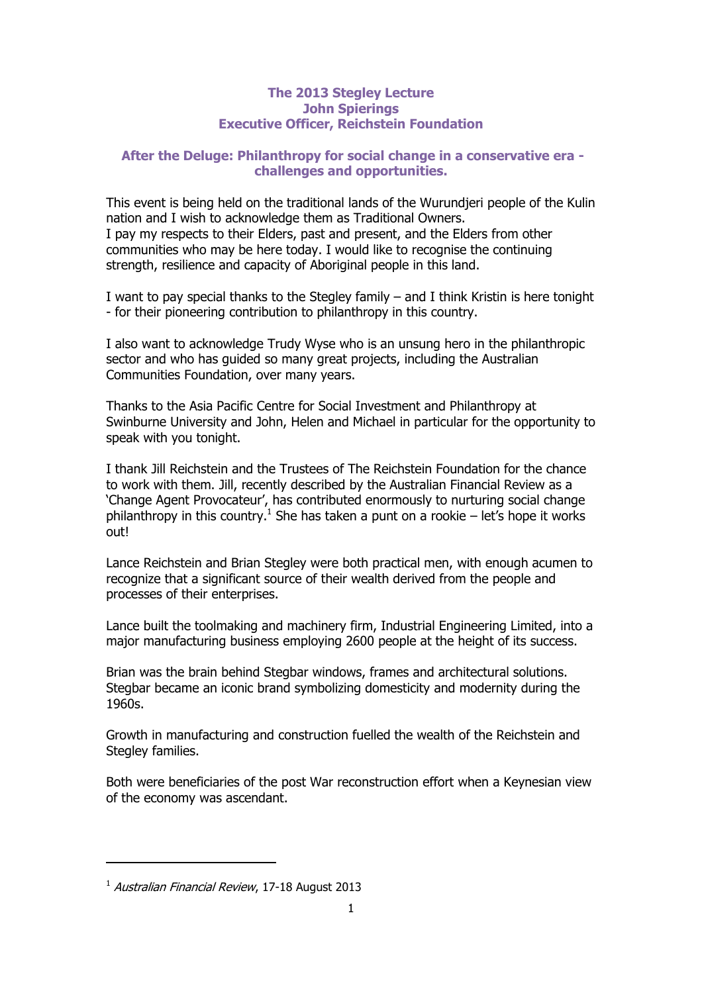## **The 2013 Stegley Lecture John Spierings Executive Officer, Reichstein Foundation**

# **After the Deluge: Philanthropy for social change in a conservative era challenges and opportunities.**

This event is being held on the traditional lands of the Wurundjeri people of the Kulin nation and I wish to acknowledge them as Traditional Owners. I pay my respects to their Elders, past and present, and the Elders from other communities who may be here today. I would like to recognise the continuing strength, resilience and capacity of Aboriginal people in this land.

I want to pay special thanks to the Stegley family – and I think Kristin is here tonight - for their pioneering contribution to philanthropy in this country.

I also want to acknowledge Trudy Wyse who is an unsung hero in the philanthropic sector and who has guided so many great projects, including the Australian Communities Foundation, over many years.

Thanks to the Asia Pacific Centre for Social Investment and Philanthropy at Swinburne University and John, Helen and Michael in particular for the opportunity to speak with you tonight.

I thank Jill Reichstein and the Trustees of The Reichstein Foundation for the chance to work with them. Jill, recently described by the Australian Financial Review as a 'Change Agent Provocateur', has contributed enormously to nurturing social change philanthropy in this country.<sup>1</sup> She has taken a punt on a rookie – let's hope it works out!

Lance Reichstein and Brian Stegley were both practical men, with enough acumen to recognize that a significant source of their wealth derived from the people and processes of their enterprises.

Lance built the toolmaking and machinery firm, Industrial Engineering Limited, into a major manufacturing business employing 2600 people at the height of its success.

Brian was the brain behind Stegbar windows, frames and architectural solutions. Stegbar became an iconic brand symbolizing domesticity and modernity during the 1960s.

Growth in manufacturing and construction fuelled the wealth of the Reichstein and Stegley families.

Both were beneficiaries of the post War reconstruction effort when a Keynesian view of the economy was ascendant.

<sup>&</sup>lt;sup>1</sup> Australian Financial Review, 17-18 August 2013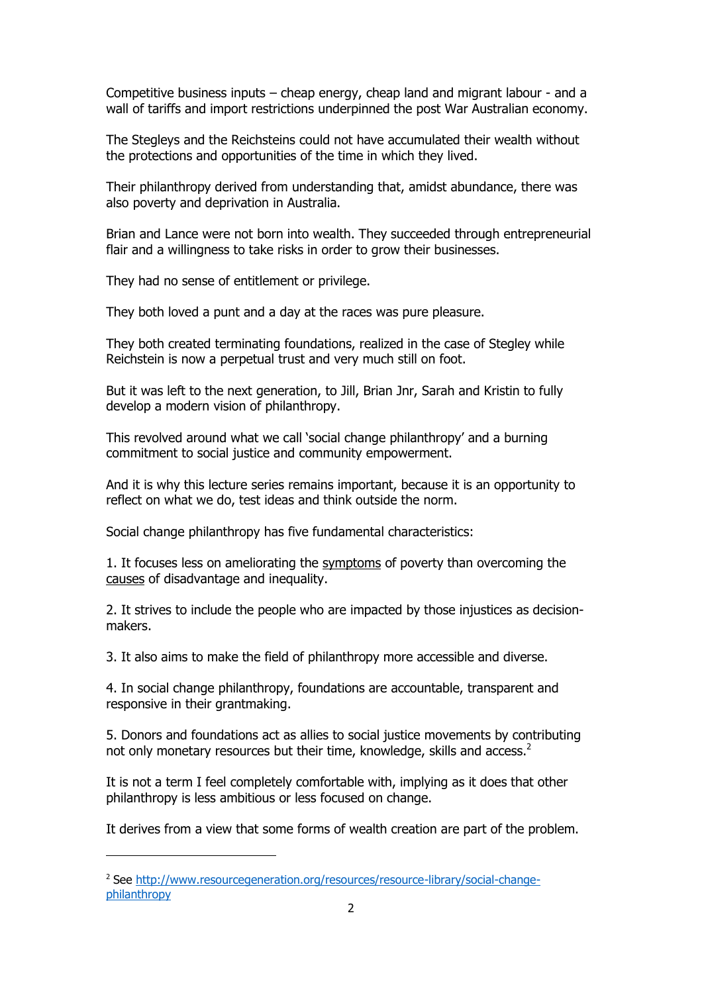Competitive business inputs – cheap energy, cheap land and migrant labour - and a wall of tariffs and import restrictions underpinned the post War Australian economy.

The Stegleys and the Reichsteins could not have accumulated their wealth without the protections and opportunities of the time in which they lived.

Their philanthropy derived from understanding that, amidst abundance, there was also poverty and deprivation in Australia.

Brian and Lance were not born into wealth. They succeeded through entrepreneurial flair and a willingness to take risks in order to grow their businesses.

They had no sense of entitlement or privilege.

They both loved a punt and a day at the races was pure pleasure.

They both created terminating foundations, realized in the case of Stegley while Reichstein is now a perpetual trust and very much still on foot.

But it was left to the next generation, to Jill, Brian Jnr, Sarah and Kristin to fully develop a modern vision of philanthropy.

This revolved around what we call 'social change philanthropy' and a burning commitment to social justice and community empowerment.

And it is why this lecture series remains important, because it is an opportunity to reflect on what we do, test ideas and think outside the norm.

Social change philanthropy has five fundamental characteristics:

1. It focuses less on ameliorating the symptoms of poverty than overcoming the causes of disadvantage and inequality.

2. It strives to include the people who are impacted by those injustices as decisionmakers.

3. It also aims to make the field of philanthropy more accessible and diverse.

4. In social change philanthropy, foundations are accountable, transparent and responsive in their grantmaking.

5. Donors and foundations act as allies to social justice movements by contributing not only monetary resources but their time, knowledge, skills and access. $<sup>2</sup>$ </sup>

It is not a term I feel completely comfortable with, implying as it does that other philanthropy is less ambitious or less focused on change.

It derives from a view that some forms of wealth creation are part of the problem.

<sup>&</sup>lt;sup>2</sup> See [http://www.resourcegeneration.org/resources/resource-library/social-change](http://www.resourcegeneration.org/resources/resource-library/social-change-philanthropy)[philanthropy](http://www.resourcegeneration.org/resources/resource-library/social-change-philanthropy)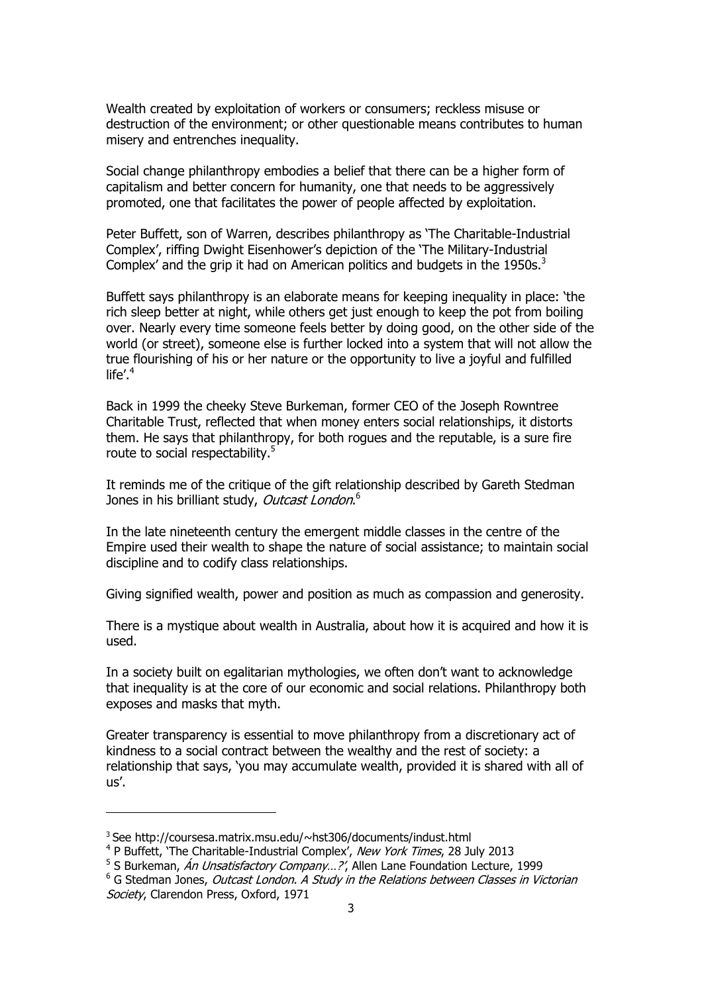Wealth created by exploitation of workers or consumers; reckless misuse or destruction of the environment; or other questionable means contributes to human misery and entrenches inequality.

Social change philanthropy embodies a belief that there can be a higher form of capitalism and better concern for humanity, one that needs to be aggressively promoted, one that facilitates the power of people affected by exploitation.

Peter Buffett, son of Warren, describes philanthropy as 'The Charitable-Industrial Complex', riffing Dwight Eisenhower's depiction of the 'The Military-Industrial Complex' and the grip it had on American politics and budgets in the 1950s. $3$ 

Buffett says philanthropy is an elaborate means for keeping inequality in place: 'the rich sleep better at night, while others get just enough to keep the pot from boiling over. Nearly every time someone feels better by doing good, on the other side of the world (or street), someone else is further locked into a system that will not allow the true flourishing of his or her nature or the opportunity to live a joyful and fulfilled  $l$ ife'.<sup>4</sup>

Back in 1999 the cheeky Steve Burkeman, former CEO of the Joseph Rowntree Charitable Trust, reflected that when money enters social relationships, it distorts them. He says that philanthropy, for both rogues and the reputable, is a sure fire route to social respectability.<sup>5</sup>

It reminds me of the critique of the gift relationship described by Gareth Stedman Jones in his brilliant study, *Outcast London*.<sup>6</sup>

In the late nineteenth century the emergent middle classes in the centre of the Empire used their wealth to shape the nature of social assistance; to maintain social discipline and to codify class relationships.

Giving signified wealth, power and position as much as compassion and generosity.

There is a mystique about wealth in Australia, about how it is acquired and how it is used.

In a society built on egalitarian mythologies, we often don't want to acknowledge that inequality is at the core of our economic and social relations. Philanthropy both exposes and masks that myth.

Greater transparency is essential to move philanthropy from a discretionary act of kindness to a social contract between the wealthy and the rest of society: a relationship that says, 'you may accumulate wealth, provided it is shared with all of us'.

l

<sup>3</sup> See http://coursesa.matrix.msu.edu/~hst306/documents/indust.html

<sup>&</sup>lt;sup>4</sup> P Buffett, 'The Charitable-Industrial Complex', New York Times, 28 July 2013

<sup>&</sup>lt;sup>5</sup> S Burkeman, *Án Unsatisfactory Company...?'*, Allen Lane Foundation Lecture, 1999

<sup>&</sup>lt;sup>6</sup> G Stedman Jones, Outcast London. A Study in the Relations between Classes in Victorian Society, Clarendon Press, Oxford, 1971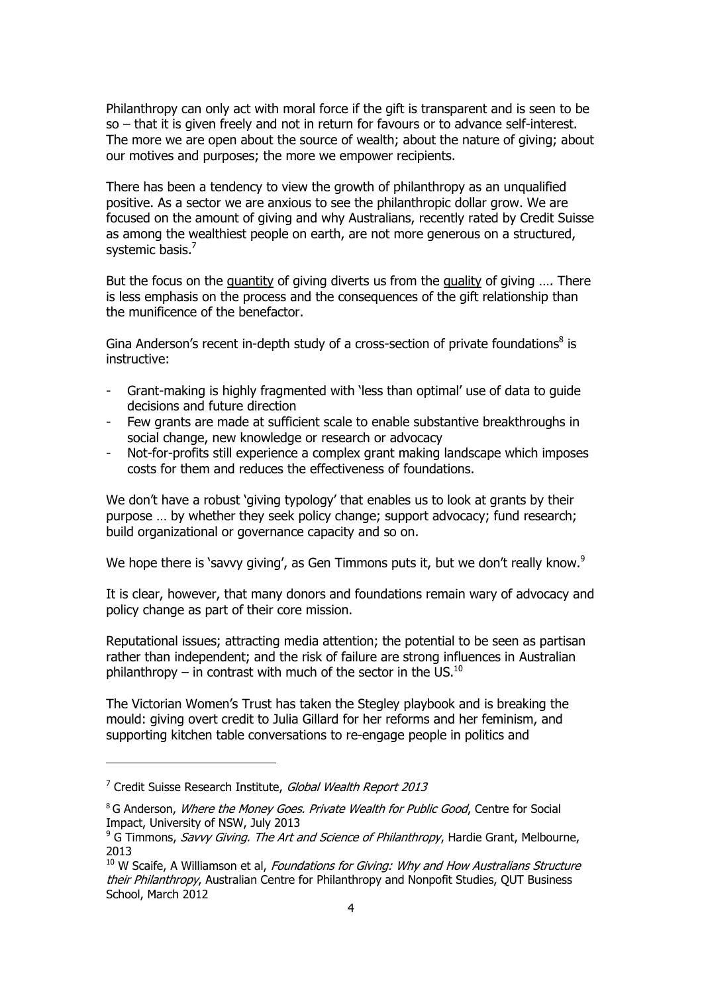Philanthropy can only act with moral force if the gift is transparent and is seen to be so – that it is given freely and not in return for favours or to advance self-interest. The more we are open about the source of wealth; about the nature of giving; about our motives and purposes; the more we empower recipients.

There has been a tendency to view the growth of philanthropy as an unqualified positive. As a sector we are anxious to see the philanthropic dollar grow. We are focused on the amount of giving and why Australians, recently rated by Credit Suisse as among the wealthiest people on earth, are not more generous on a structured, systemic basis.<sup>7</sup>

But the focus on the quantity of giving diverts us from the quality of giving …. There is less emphasis on the process and the consequences of the gift relationship than the munificence of the benefactor.

Gina Anderson's recent in-depth study of a cross-section of private foundations<sup>8</sup> is instructive:

- Grant-making is highly fragmented with 'less than optimal' use of data to guide decisions and future direction
- Few grants are made at sufficient scale to enable substantive breakthroughs in social change, new knowledge or research or advocacy
- Not-for-profits still experience a complex grant making landscape which imposes costs for them and reduces the effectiveness of foundations.

We don't have a robust 'giving typology' that enables us to look at grants by their purpose … by whether they seek policy change; support advocacy; fund research; build organizational or governance capacity and so on.

We hope there is 'savvy giving', as Gen Timmons puts it, but we don't really know.<sup>9</sup>

It is clear, however, that many donors and foundations remain wary of advocacy and policy change as part of their core mission.

Reputational issues; attracting media attention; the potential to be seen as partisan rather than independent; and the risk of failure are strong influences in Australian philanthropy – in contrast with much of the sector in the US. $^{10}$ 

The Victorian Women's Trust has taken the Stegley playbook and is breaking the mould: giving overt credit to Julia Gillard for her reforms and her feminism, and supporting kitchen table conversations to re-engage people in politics and

<sup>&</sup>lt;sup>7</sup> Credit Suisse Research Institute, Global Wealth Report 2013

<sup>&</sup>lt;sup>8</sup> G Anderson, Where the Money Goes. Private Wealth for Public Good, Centre for Social Impact, University of NSW, July 2013

 $9^9$  G Timmons, Savvy Giving. The Art and Science of Philanthropy, Hardie Grant, Melbourne, 2013

 $10$  W Scaife, A Williamson et al, Foundations for Giving: Why and How Australians Structure their Philanthropy, Australian Centre for Philanthropy and Nonpofit Studies, QUT Business School, March 2012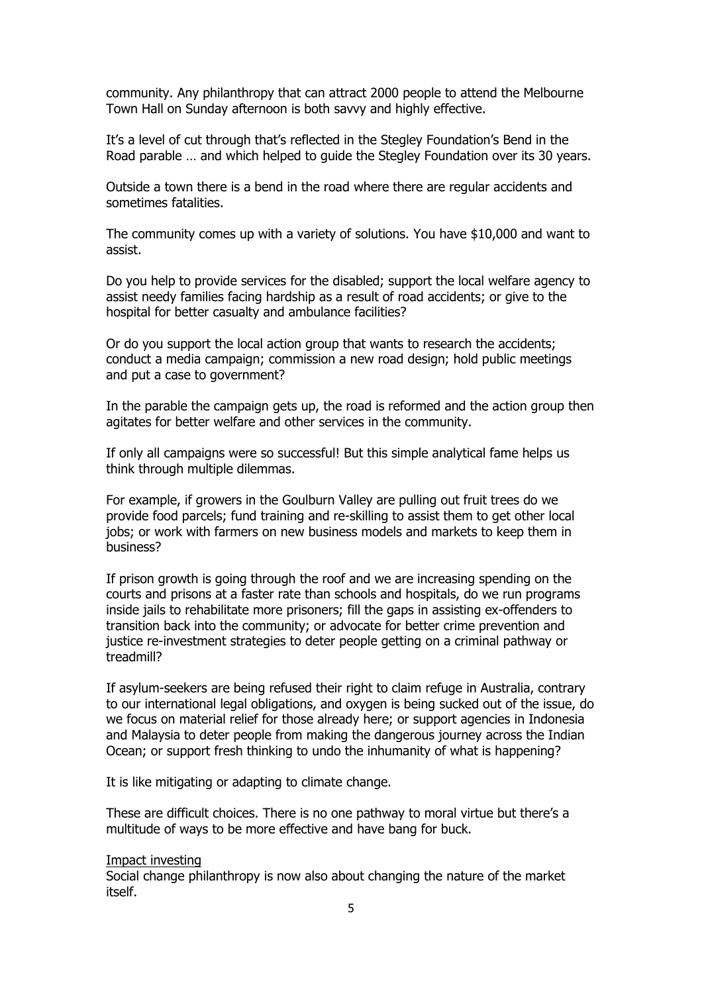community. Any philanthropy that can attract 2000 people to attend the Melbourne Town Hall on Sunday afternoon is both savvy and highly effective.

It's a level of cut through that's reflected in the Stegley Foundation's Bend in the Road parable … and which helped to guide the Stegley Foundation over its 30 years.

Outside a town there is a bend in the road where there are regular accidents and sometimes fatalities.

The community comes up with a variety of solutions. You have \$10,000 and want to assist.

Do you help to provide services for the disabled; support the local welfare agency to assist needy families facing hardship as a result of road accidents; or give to the hospital for better casualty and ambulance facilities?

Or do you support the local action group that wants to research the accidents; conduct a media campaign; commission a new road design; hold public meetings and put a case to government?

In the parable the campaign gets up, the road is reformed and the action group then agitates for better welfare and other services in the community.

If only all campaigns were so successful! But this simple analytical fame helps us think through multiple dilemmas.

For example, if growers in the Goulburn Valley are pulling out fruit trees do we provide food parcels; fund training and re-skilling to assist them to get other local jobs; or work with farmers on new business models and markets to keep them in business?

If prison growth is going through the roof and we are increasing spending on the courts and prisons at a faster rate than schools and hospitals, do we run programs inside jails to rehabilitate more prisoners; fill the gaps in assisting ex-offenders to transition back into the community; or advocate for better crime prevention and justice re-investment strategies to deter people getting on a criminal pathway or treadmill?

If asylum-seekers are being refused their right to claim refuge in Australia, contrary to our international legal obligations, and oxygen is being sucked out of the issue, do we focus on material relief for those already here; or support agencies in Indonesia and Malaysia to deter people from making the dangerous journey across the Indian Ocean; or support fresh thinking to undo the inhumanity of what is happening?

It is like mitigating or adapting to climate change.

These are difficult choices. There is no one pathway to moral virtue but there's a multitude of ways to be more effective and have bang for buck.

#### Impact investing

Social change philanthropy is now also about changing the nature of the market itself.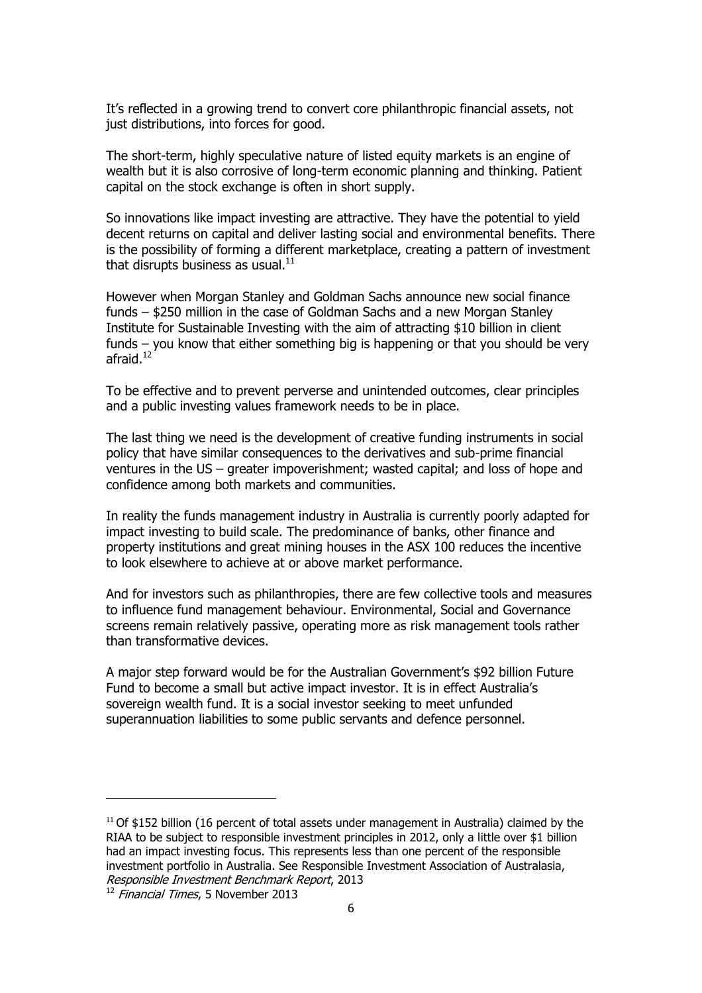It's reflected in a growing trend to convert core philanthropic financial assets, not just distributions, into forces for good.

The short-term, highly speculative nature of listed equity markets is an engine of wealth but it is also corrosive of long-term economic planning and thinking. Patient capital on the stock exchange is often in short supply.

So innovations like impact investing are attractive. They have the potential to yield decent returns on capital and deliver lasting social and environmental benefits. There is the possibility of forming a different marketplace, creating a pattern of investment that disrupts business as usual. $^{11}$ 

However when Morgan Stanley and Goldman Sachs announce new social finance funds – \$250 million in the case of Goldman Sachs and a new Morgan Stanley Institute for Sustainable Investing with the aim of attracting \$10 billion in client funds – you know that either something big is happening or that you should be very afraid.<sup>12</sup>

To be effective and to prevent perverse and unintended outcomes, clear principles and a public investing values framework needs to be in place.

The last thing we need is the development of creative funding instruments in social policy that have similar consequences to the derivatives and sub-prime financial ventures in the US – greater impoverishment; wasted capital; and loss of hope and confidence among both markets and communities.

In reality the funds management industry in Australia is currently poorly adapted for impact investing to build scale. The predominance of banks, other finance and property institutions and great mining houses in the ASX 100 reduces the incentive to look elsewhere to achieve at or above market performance.

And for investors such as philanthropies, there are few collective tools and measures to influence fund management behaviour. Environmental, Social and Governance screens remain relatively passive, operating more as risk management tools rather than transformative devices.

A major step forward would be for the Australian Government's \$92 billion Future Fund to become a small but active impact investor. It is in effect Australia's sovereign wealth fund. It is a social investor seeking to meet unfunded superannuation liabilities to some public servants and defence personnel.

l

<sup>&</sup>lt;sup>11</sup> Of \$152 billion (16 percent of total assets under management in Australia) claimed by the RIAA to be subject to responsible investment principles in 2012, only a little over \$1 billion had an impact investing focus. This represents less than one percent of the responsible investment portfolio in Australia. See Responsible Investment Association of Australasia, Responsible Investment Benchmark Report, 2013

 $12$  Financial Times, 5 November 2013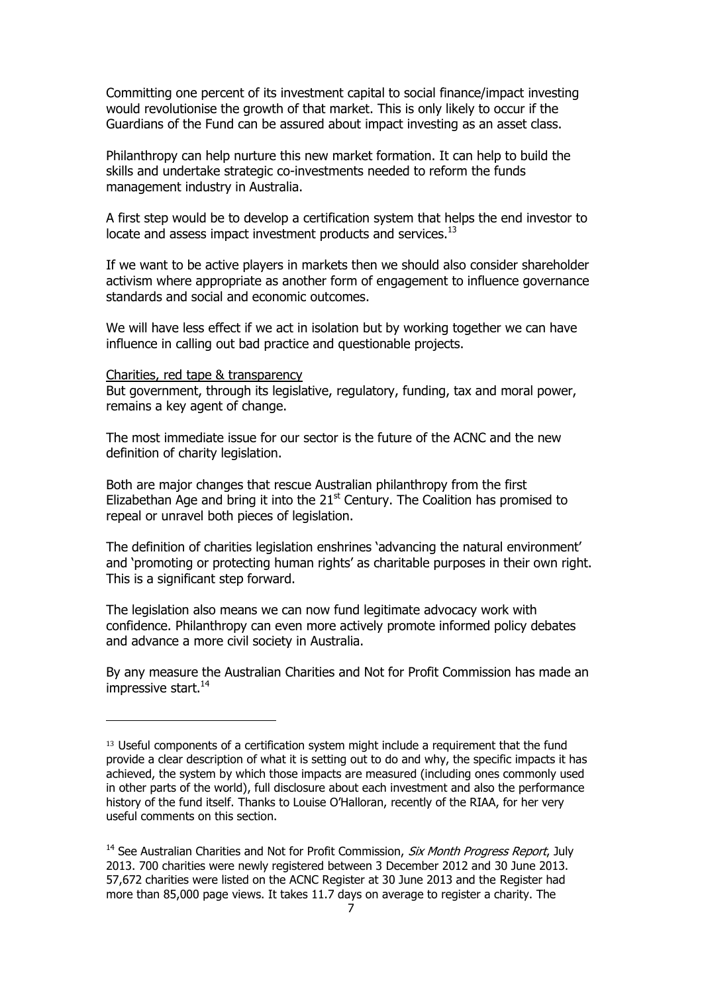Committing one percent of its investment capital to social finance/impact investing would revolutionise the growth of that market. This is only likely to occur if the Guardians of the Fund can be assured about impact investing as an asset class.

Philanthropy can help nurture this new market formation. It can help to build the skills and undertake strategic co-investments needed to reform the funds management industry in Australia.

A first step would be to develop a certification system that helps the end investor to locate and assess impact investment products and services.<sup>13</sup>

If we want to be active players in markets then we should also consider shareholder activism where appropriate as another form of engagement to influence governance standards and social and economic outcomes.

We will have less effect if we act in isolation but by working together we can have influence in calling out bad practice and questionable projects.

Charities, red tape & transparency

l

But government, through its legislative, regulatory, funding, tax and moral power, remains a key agent of change.

The most immediate issue for our sector is the future of the ACNC and the new definition of charity legislation.

Both are major changes that rescue Australian philanthropy from the first Elizabethan Age and bring it into the  $21<sup>st</sup>$  Century. The Coalition has promised to repeal or unravel both pieces of legislation.

The definition of charities legislation enshrines 'advancing the natural environment' and 'promoting or protecting human rights' as charitable purposes in their own right. This is a significant step forward.

The legislation also means we can now fund legitimate advocacy work with confidence. Philanthropy can even more actively promote informed policy debates and advance a more civil society in Australia.

By any measure the Australian Charities and Not for Profit Commission has made an impressive start. $^{14}$ 

<sup>&</sup>lt;sup>13</sup> Useful components of a certification system might include a requirement that the fund provide a clear description of what it is setting out to do and why, the specific impacts it has achieved, the system by which those impacts are measured (including ones commonly used in other parts of the world), full disclosure about each investment and also the performance history of the fund itself. Thanks to Louise O'Halloran, recently of the RIAA, for her very useful comments on this section.

<sup>&</sup>lt;sup>14</sup> See Australian Charities and Not for Profit Commission, *Six Month Progress Report*, July 2013. 700 charities were newly registered between 3 December 2012 and 30 June 2013. 57,672 charities were listed on the ACNC Register at 30 June 2013 and the Register had more than 85,000 page views. It takes 11.7 days on average to register a charity. The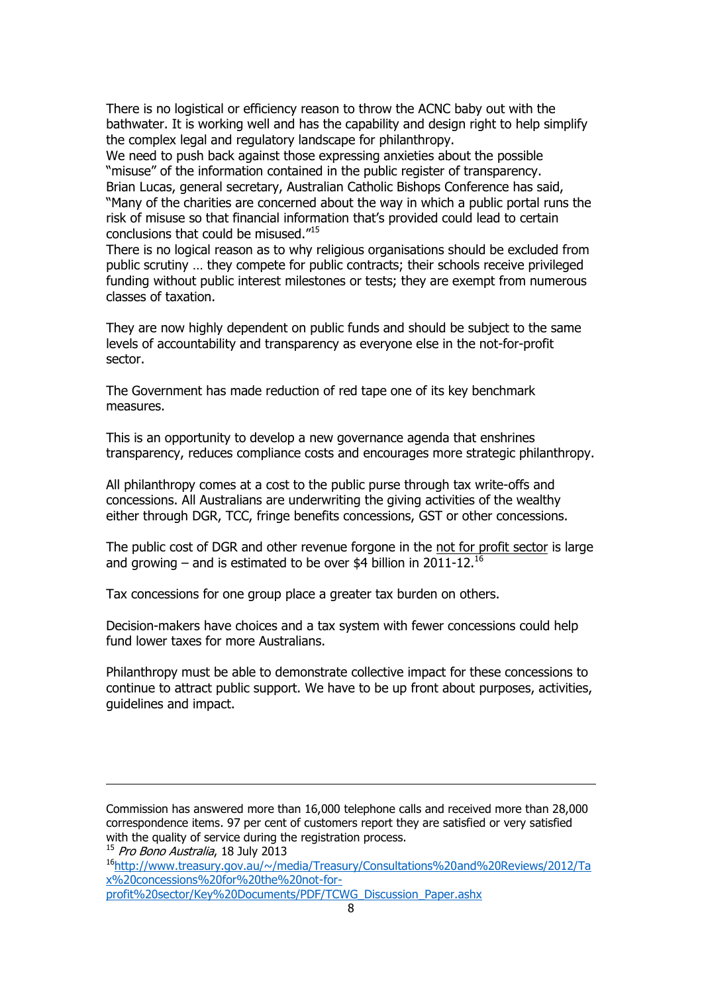There is no logistical or efficiency reason to throw the ACNC baby out with the bathwater. It is working well and has the capability and design right to help simplify the complex legal and regulatory landscape for philanthropy.

We need to push back against those expressing anxieties about the possible "misuse" of the information contained in the public register of transparency. Brian Lucas, general secretary, Australian Catholic Bishops Conference has said, "Many of the charities are concerned about the way in which a public portal runs the risk of misuse so that financial information that's provided could lead to certain conclusions that could be misused."<sup>15</sup>

There is no logical reason as to why religious organisations should be excluded from public scrutiny … they compete for public contracts; their schools receive privileged funding without public interest milestones or tests; they are exempt from numerous classes of taxation.

They are now highly dependent on public funds and should be subject to the same levels of accountability and transparency as everyone else in the not-for-profit sector.

The Government has made reduction of red tape one of its key benchmark measures.

This is an opportunity to develop a new governance agenda that enshrines transparency, reduces compliance costs and encourages more strategic philanthropy.

All philanthropy comes at a cost to the public purse through tax write-offs and concessions. All Australians are underwriting the giving activities of the wealthy either through DGR, TCC, fringe benefits concessions, GST or other concessions.

The public cost of DGR and other revenue forgone in the not for profit sector is large and growing – and is estimated to be over \$4 billion in 2011-12.<sup>16</sup>

Tax concessions for one group place a greater tax burden on others.

Decision-makers have choices and a tax system with fewer concessions could help fund lower taxes for more Australians.

Philanthropy must be able to demonstrate collective impact for these concessions to continue to attract public support. We have to be up front about purposes, activities, guidelines and impact.

Commission has answered more than 16,000 telephone calls and received more than 28,000 correspondence items. 97 per cent of customers report they are satisfied or very satisfied with the quality of service during the registration process.

<sup>15</sup> Pro Bono Australia, 18 July 2013

 $\overline{a}$ 

<sup>16</sup>[http://www.treasury.gov.au/~/media/Treasury/Consultations%20and%20Reviews/2012/Ta](http://www.treasury.gov.au/~/media/Treasury/Consultations%20and%20Reviews/2012/Tax%20concessions%20for%20the%20not-for-profit%20sector/Key%20Documents/PDF/TCWG_Discussion_Paper.ashx) [x%20concessions%20for%20the%20not-for](http://www.treasury.gov.au/~/media/Treasury/Consultations%20and%20Reviews/2012/Tax%20concessions%20for%20the%20not-for-profit%20sector/Key%20Documents/PDF/TCWG_Discussion_Paper.ashx)[profit%20sector/Key%20Documents/PDF/TCWG\\_Discussion\\_Paper.ashx](http://www.treasury.gov.au/~/media/Treasury/Consultations%20and%20Reviews/2012/Tax%20concessions%20for%20the%20not-for-profit%20sector/Key%20Documents/PDF/TCWG_Discussion_Paper.ashx)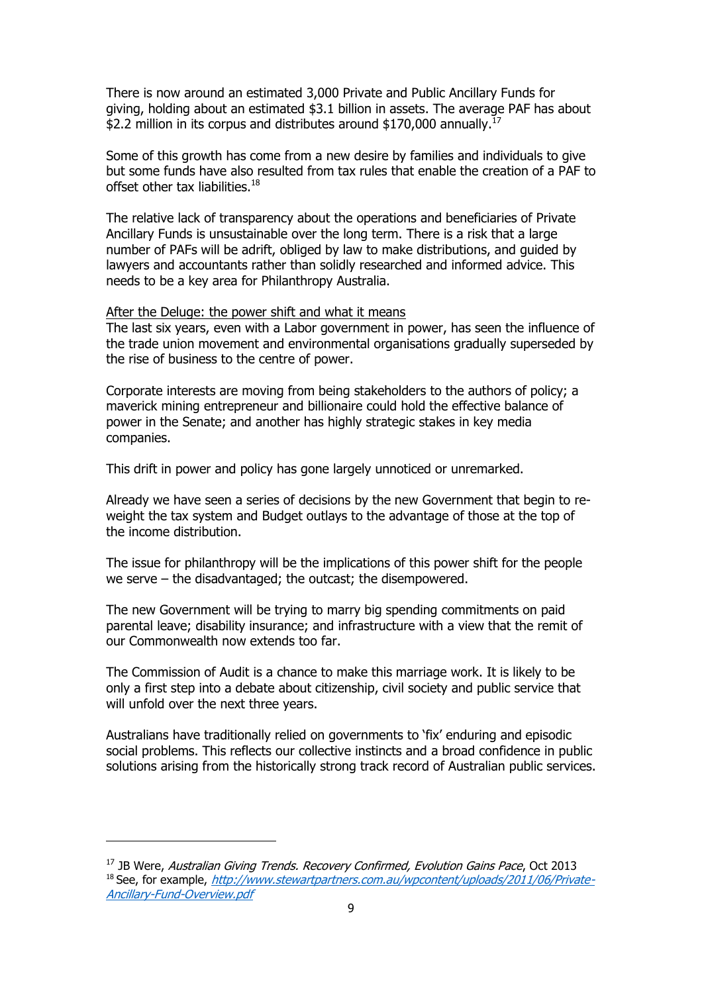There is now around an estimated 3,000 Private and Public Ancillary Funds for giving, holding about an estimated \$3.1 billion in assets. The average PAF has about \$2.2 million in its corpus and distributes around \$170,000 annually.<sup>17</sup>

Some of this growth has come from a new desire by families and individuals to give but some funds have also resulted from tax rules that enable the creation of a PAF to offset other tax liabilities.<sup>18</sup>

The relative lack of transparency about the operations and beneficiaries of Private Ancillary Funds is unsustainable over the long term. There is a risk that a large number of PAFs will be adrift, obliged by law to make distributions, and guided by lawyers and accountants rather than solidly researched and informed advice. This needs to be a key area for Philanthropy Australia.

### After the Deluge: the power shift and what it means

The last six years, even with a Labor government in power, has seen the influence of the trade union movement and environmental organisations gradually superseded by the rise of business to the centre of power.

Corporate interests are moving from being stakeholders to the authors of policy; a maverick mining entrepreneur and billionaire could hold the effective balance of power in the Senate; and another has highly strategic stakes in key media companies.

This drift in power and policy has gone largely unnoticed or unremarked.

Already we have seen a series of decisions by the new Government that begin to reweight the tax system and Budget outlays to the advantage of those at the top of the income distribution.

The issue for philanthropy will be the implications of this power shift for the people we serve – the disadvantaged; the outcast; the disempowered.

The new Government will be trying to marry big spending commitments on paid parental leave; disability insurance; and infrastructure with a view that the remit of our Commonwealth now extends too far.

The Commission of Audit is a chance to make this marriage work. It is likely to be only a first step into a debate about citizenship, civil society and public service that will unfold over the next three years.

Australians have traditionally relied on governments to 'fix' enduring and episodic social problems. This reflects our collective instincts and a broad confidence in public solutions arising from the historically strong track record of Australian public services.

 $17$  JB Were, Australian Giving Trends. Recovery Confirmed, Evolution Gains Pace, Oct 2013 <sup>18</sup> See, for example, [http://www.stewartpartners.com.au/wpcontent/uploads/2011/06/Private-](http://www.stewartpartners.com.au/wpcontent/uploads/2011/06/Private-Ancillary-Fund-Overview.pdf)[Ancillary-Fund-Overview.pdf](http://www.stewartpartners.com.au/wpcontent/uploads/2011/06/Private-Ancillary-Fund-Overview.pdf)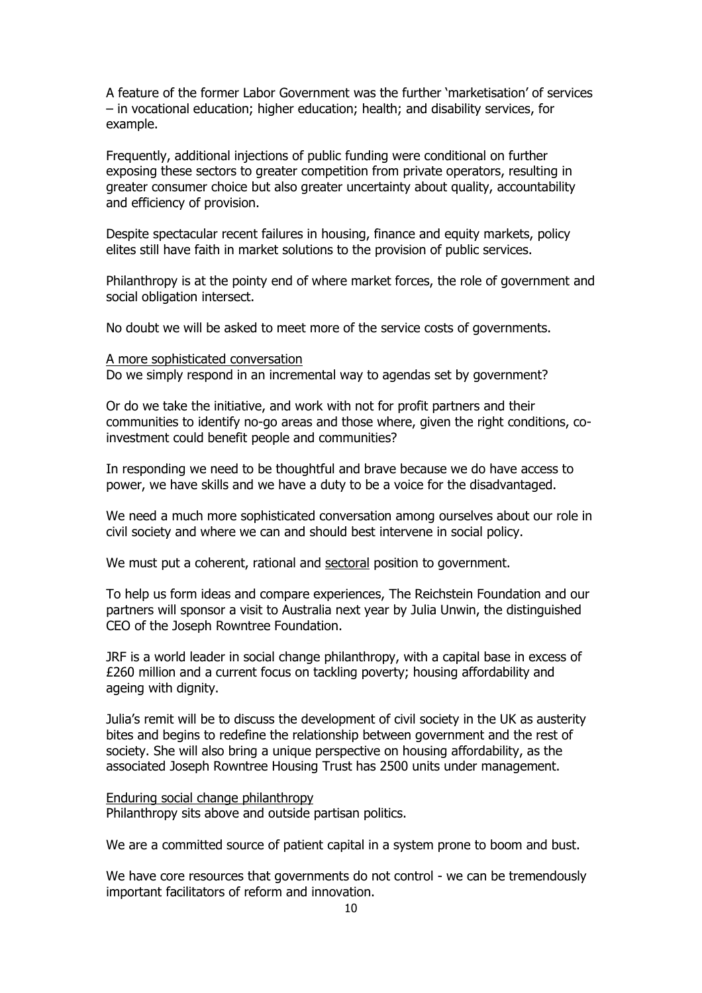A feature of the former Labor Government was the further 'marketisation' of services – in vocational education; higher education; health; and disability services, for example.

Frequently, additional injections of public funding were conditional on further exposing these sectors to greater competition from private operators, resulting in greater consumer choice but also greater uncertainty about quality, accountability and efficiency of provision.

Despite spectacular recent failures in housing, finance and equity markets, policy elites still have faith in market solutions to the provision of public services.

Philanthropy is at the pointy end of where market forces, the role of government and social obligation intersect.

No doubt we will be asked to meet more of the service costs of governments.

#### A more sophisticated conversation

Do we simply respond in an incremental way to agendas set by government?

Or do we take the initiative, and work with not for profit partners and their communities to identify no-go areas and those where, given the right conditions, coinvestment could benefit people and communities?

In responding we need to be thoughtful and brave because we do have access to power, we have skills and we have a duty to be a voice for the disadvantaged.

We need a much more sophisticated conversation among ourselves about our role in civil society and where we can and should best intervene in social policy.

We must put a coherent, rational and sectoral position to government.

To help us form ideas and compare experiences, The Reichstein Foundation and our partners will sponsor a visit to Australia next year by Julia Unwin, the distinguished CEO of the Joseph Rowntree Foundation.

JRF is a world leader in social change philanthropy, with a capital base in excess of £260 million and a current focus on tackling poverty; housing affordability and ageing with dignity.

Julia's remit will be to discuss the development of civil society in the UK as austerity bites and begins to redefine the relationship between government and the rest of society. She will also bring a unique perspective on housing affordability, as the associated Joseph Rowntree Housing Trust has 2500 units under management.

#### Enduring social change philanthropy Philanthropy sits above and outside partisan politics.

We are a committed source of patient capital in a system prone to boom and bust.

We have core resources that governments do not control - we can be tremendously important facilitators of reform and innovation.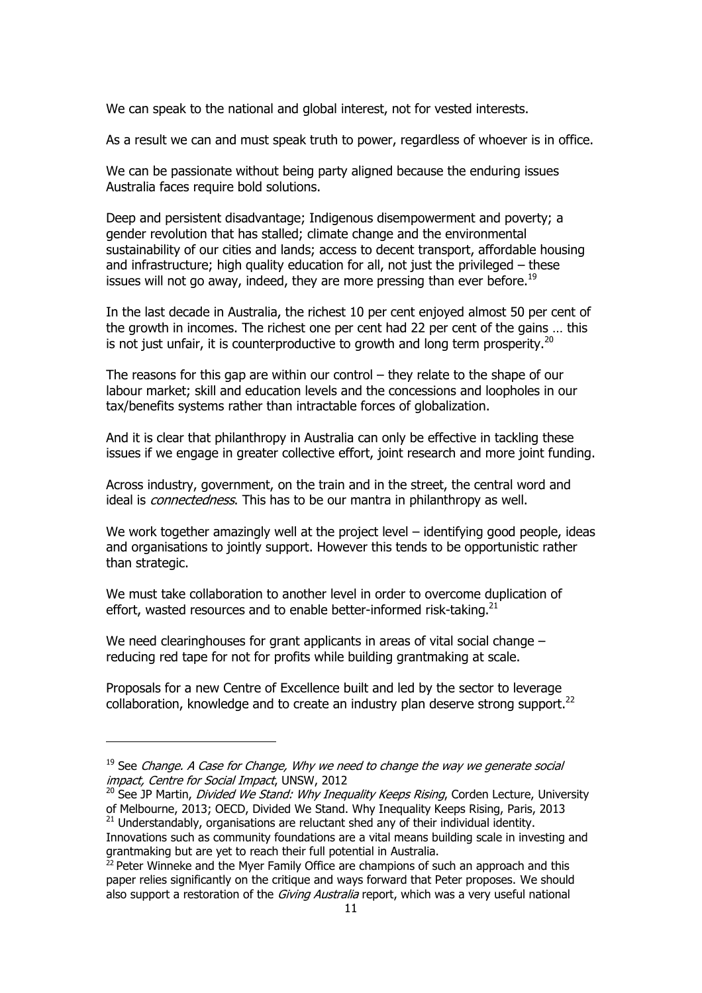We can speak to the national and global interest, not for vested interests.

As a result we can and must speak truth to power, regardless of whoever is in office.

We can be passionate without being party aligned because the enduring issues Australia faces require bold solutions.

Deep and persistent disadvantage; Indigenous disempowerment and poverty; a gender revolution that has stalled; climate change and the environmental sustainability of our cities and lands; access to decent transport, affordable housing and infrastructure; high quality education for all, not just the privileged – these issues will not go away, indeed, they are more pressing than ever before.<sup>19</sup>

In the last decade in Australia, the richest 10 per cent enjoyed almost 50 per cent of the growth in incomes. The richest one per cent had 22 per cent of the gains … this is not just unfair, it is counterproductive to growth and long term prosperity.<sup>20</sup>

The reasons for this gap are within our control – they relate to the shape of our labour market; skill and education levels and the concessions and loopholes in our tax/benefits systems rather than intractable forces of globalization.

And it is clear that philanthropy in Australia can only be effective in tackling these issues if we engage in greater collective effort, joint research and more joint funding.

Across industry, government, on the train and in the street, the central word and ideal is *connectedness*. This has to be our mantra in philanthropy as well.

We work together amazingly well at the project level – identifying good people, ideas and organisations to jointly support. However this tends to be opportunistic rather than strategic.

We must take collaboration to another level in order to overcome duplication of effort, wasted resources and to enable better-informed risk-taking. $21$ 

We need clearinghouses for grant applicants in areas of vital social change – reducing red tape for not for profits while building grantmaking at scale.

Proposals for a new Centre of Excellence built and led by the sector to leverage collaboration, knowledge and to create an industry plan deserve strong support. $^{22}$ 

 $19$  See Change. A Case for Change, Why we need to change the way we generate social impact, Centre for Social Impact, UNSW, 2012

 $20$  See JP Martin, *Divided We Stand: Why Inequality Keeps Rising*, Corden Lecture, University of Melbourne, 2013; OECD, Divided We Stand. Why Inequality Keeps Rising, Paris, 2013  $21$  Understandably, organisations are reluctant shed any of their individual identity.

Innovations such as community foundations are a vital means building scale in investing and grantmaking but are yet to reach their full potential in Australia.

 $22$  Peter Winneke and the Myer Family Office are champions of such an approach and this paper relies significantly on the critique and ways forward that Peter proposes. We should also support a restoration of the *Giving Australia* report, which was a very useful national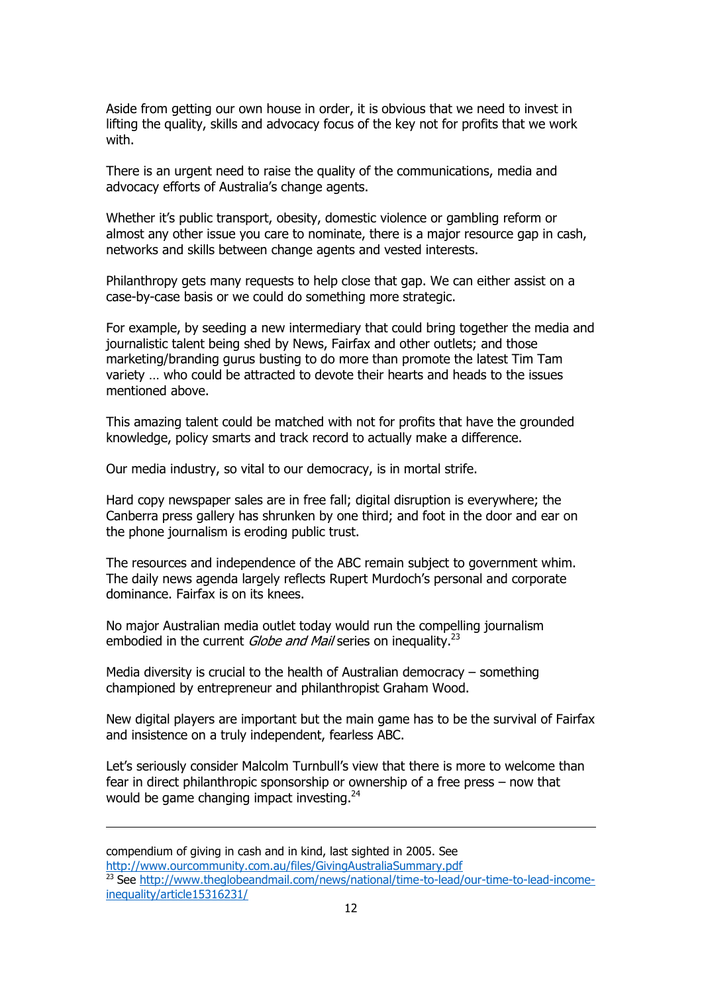Aside from getting our own house in order, it is obvious that we need to invest in lifting the quality, skills and advocacy focus of the key not for profits that we work with.

There is an urgent need to raise the quality of the communications, media and advocacy efforts of Australia's change agents.

Whether it's public transport, obesity, domestic violence or gambling reform or almost any other issue you care to nominate, there is a major resource gap in cash, networks and skills between change agents and vested interests.

Philanthropy gets many requests to help close that gap. We can either assist on a case-by-case basis or we could do something more strategic.

For example, by seeding a new intermediary that could bring together the media and journalistic talent being shed by News, Fairfax and other outlets; and those marketing/branding gurus busting to do more than promote the latest Tim Tam variety … who could be attracted to devote their hearts and heads to the issues mentioned above.

This amazing talent could be matched with not for profits that have the grounded knowledge, policy smarts and track record to actually make a difference.

Our media industry, so vital to our democracy, is in mortal strife.

Hard copy newspaper sales are in free fall; digital disruption is everywhere; the Canberra press gallery has shrunken by one third; and foot in the door and ear on the phone journalism is eroding public trust.

The resources and independence of the ABC remain subject to government whim. The daily news agenda largely reflects Rupert Murdoch's personal and corporate dominance. Fairfax is on its knees.

No major Australian media outlet today would run the compelling journalism embodied in the current *Globe and Mail* series on inequality.<sup>23</sup>

Media diversity is crucial to the health of Australian democracy – something championed by entrepreneur and philanthropist Graham Wood.

l

New digital players are important but the main game has to be the survival of Fairfax and insistence on a truly independent, fearless ABC.

Let's seriously consider Malcolm Turnbull's view that there is more to welcome than fear in direct philanthropic sponsorship or ownership of a free press – now that would be game changing impact investing.<sup>24</sup>

compendium of giving in cash and in kind, last sighted in 2005. See <http://www.ourcommunity.com.au/files/GivingAustraliaSummary.pdf> <sup>23</sup> See [http://www.theglobeandmail.com/news/national/time-to-lead/our-time-to-lead-income](http://www.theglobeandmail.com/news/national/time-to-lead/our-time-to-lead-income-inequality/article15316231/)[inequality/article15316231/](http://www.theglobeandmail.com/news/national/time-to-lead/our-time-to-lead-income-inequality/article15316231/)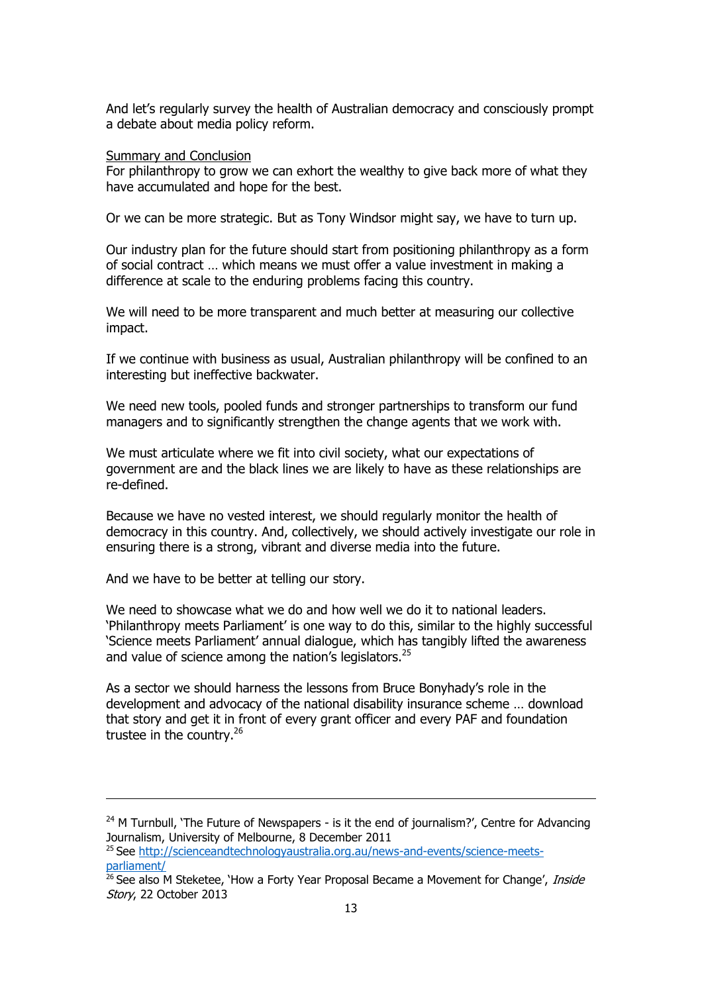And let's regularly survey the health of Australian democracy and consciously prompt a debate about media policy reform.

## **Summary and Conclusion**

For philanthropy to grow we can exhort the wealthy to give back more of what they have accumulated and hope for the best.

Or we can be more strategic. But as Tony Windsor might say, we have to turn up.

Our industry plan for the future should start from positioning philanthropy as a form of social contract … which means we must offer a value investment in making a difference at scale to the enduring problems facing this country.

We will need to be more transparent and much better at measuring our collective impact.

If we continue with business as usual, Australian philanthropy will be confined to an interesting but ineffective backwater.

We need new tools, pooled funds and stronger partnerships to transform our fund managers and to significantly strengthen the change agents that we work with.

We must articulate where we fit into civil society, what our expectations of government are and the black lines we are likely to have as these relationships are re-defined.

Because we have no vested interest, we should regularly monitor the health of democracy in this country. And, collectively, we should actively investigate our role in ensuring there is a strong, vibrant and diverse media into the future.

And we have to be better at telling our story.

l

We need to showcase what we do and how well we do it to national leaders. 'Philanthropy meets Parliament' is one way to do this, similar to the highly successful 'Science meets Parliament' annual dialogue, which has tangibly lifted the awareness and value of science among the nation's legislators.<sup>25</sup>

As a sector we should harness the lessons from Bruce Bonyhady's role in the development and advocacy of the national disability insurance scheme … download that story and get it in front of every grant officer and every PAF and foundation trustee in the country.<sup>26</sup>

 $24$  M Turnbull, 'The Future of Newspapers - is it the end of journalism?', Centre for Advancing Journalism, University of Melbourne, 8 December 2011

<sup>&</sup>lt;sup>25</sup> See [http://scienceandtechnologyaustralia.org.au/news-and-events/science-meets](http://scienceandtechnologyaustralia.org.au/news-and-events/science-meets-parliament/)[parliament/](http://scienceandtechnologyaustralia.org.au/news-and-events/science-meets-parliament/)

<sup>&</sup>lt;sup>26</sup> See also M Steketee, 'How a Forty Year Proposal Became a Movement for Change', *Inside* Story, 22 October 2013